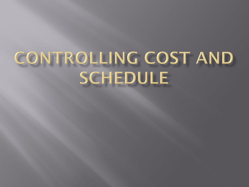## CONTROLLING COST AND **SCHEDULE**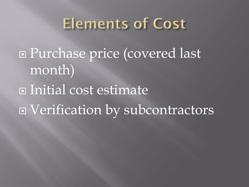## **Elements of Cost**

 Purchase price (covered last month) Initial cost estimate Verification by subcontractors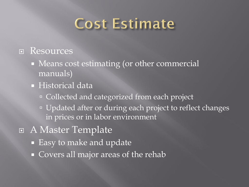## **Cost Estimate**

## **E** Resources

- Means cost estimating (or other commercial manuals)
- **Historical data** 
	- Collected and categorized from each project
	- Updated after or during each project to reflect changes in prices or in labor environment
- A Master Template
	- Easy to make and update
	- Covers all major areas of the rehab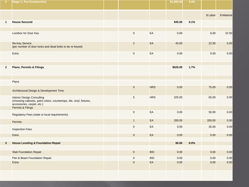| $\mathbf{0}$ | <b>Stage 1: Pre-Construction</b>                                                                                                         |                     |            | \$1,950.00 | 6.4% |          |             |
|--------------|------------------------------------------------------------------------------------------------------------------------------------------|---------------------|------------|------------|------|----------|-------------|
|              |                                                                                                                                          |                     |            |            |      | \$ Labor | \$ Material |
| $\mathbf{1}$ | <b>House Secured</b>                                                                                                                     |                     |            | \$45.00    | 0.1% |          |             |
|              |                                                                                                                                          |                     |            |            |      |          |             |
|              | Lockbox for Door Key                                                                                                                     | $\mathsf{O}\xspace$ | EA         | 0.00       |      | 6.00     | 32.50       |
|              | <b>Re-Key Service</b><br>(per number of door locks and dead bolts to be re-keyed)                                                        | $\overline{2}$      | EA         | 45.00      |      | 22.50    | 0.00        |
|              | Extra                                                                                                                                    | $\mathsf{O}\xspace$ | EA         | 0.00       |      | 0.00     | 0.00        |
| $\mathbf{2}$ | <b>Plans, Permits &amp; Filings</b>                                                                                                      |                     |            | \$525.00   | 1.7% |          |             |
|              |                                                                                                                                          |                     |            |            |      |          |             |
|              | Plans                                                                                                                                    |                     |            |            |      |          |             |
|              | Architectural Design & Development Time                                                                                                  | $\mathbf 0$         | <b>HRS</b> | 0.00       |      | 75.00    | 0.00        |
|              | <b>Interior Design Consulting</b><br>(choosing cabinets, paint colors, countertops, tile, vinyl, fixtures,<br>accessories, carpet, etc.) | 5                   | <b>HRS</b> | 325.00     |      | 65.00    | 0.00        |
|              | Permits & Filings                                                                                                                        |                     |            |            |      |          |             |
|              | Regulatory Fees (state or local requirements)                                                                                            | $\mathbf{0}$        | EA         | 0.00       |      | 50.00    | 0.00        |
|              | Permits                                                                                                                                  | $\mathbf{1}$        | EA         | 200.00     |      | 200.00   | 0.00        |
|              | <b>Inspection Fees</b>                                                                                                                   | $\mathbf 0$         | EA         | 0.00       |      | 35.00    | 0.00        |
|              | <b>Extra</b>                                                                                                                             | $\mathbf 0$         | EA         | 0.00       |      | 0.00     | 0.00        |
|              |                                                                                                                                          |                     |            |            | 0.0% |          |             |
| $\mathbf{3}$ | <b>House Leveling &amp; Foundation Repair</b>                                                                                            |                     |            | \$0.00     |      |          |             |
|              | <b>Slab Foundation Repair</b>                                                                                                            | $\mathbf{0}$        | <b>BID</b> | 0.00       |      | 0.00     | 0.00        |
|              | Pier & Beam Foundation Repair                                                                                                            | $\mathbf 0$         | <b>BID</b> | 0.00       |      | 0.00     | 0.00        |
|              | <b>Extra</b>                                                                                                                             | $\overline{0}$      | EA         | 0.00       |      | 0.00     | 0.00        |
|              |                                                                                                                                          |                     |            |            |      |          |             |